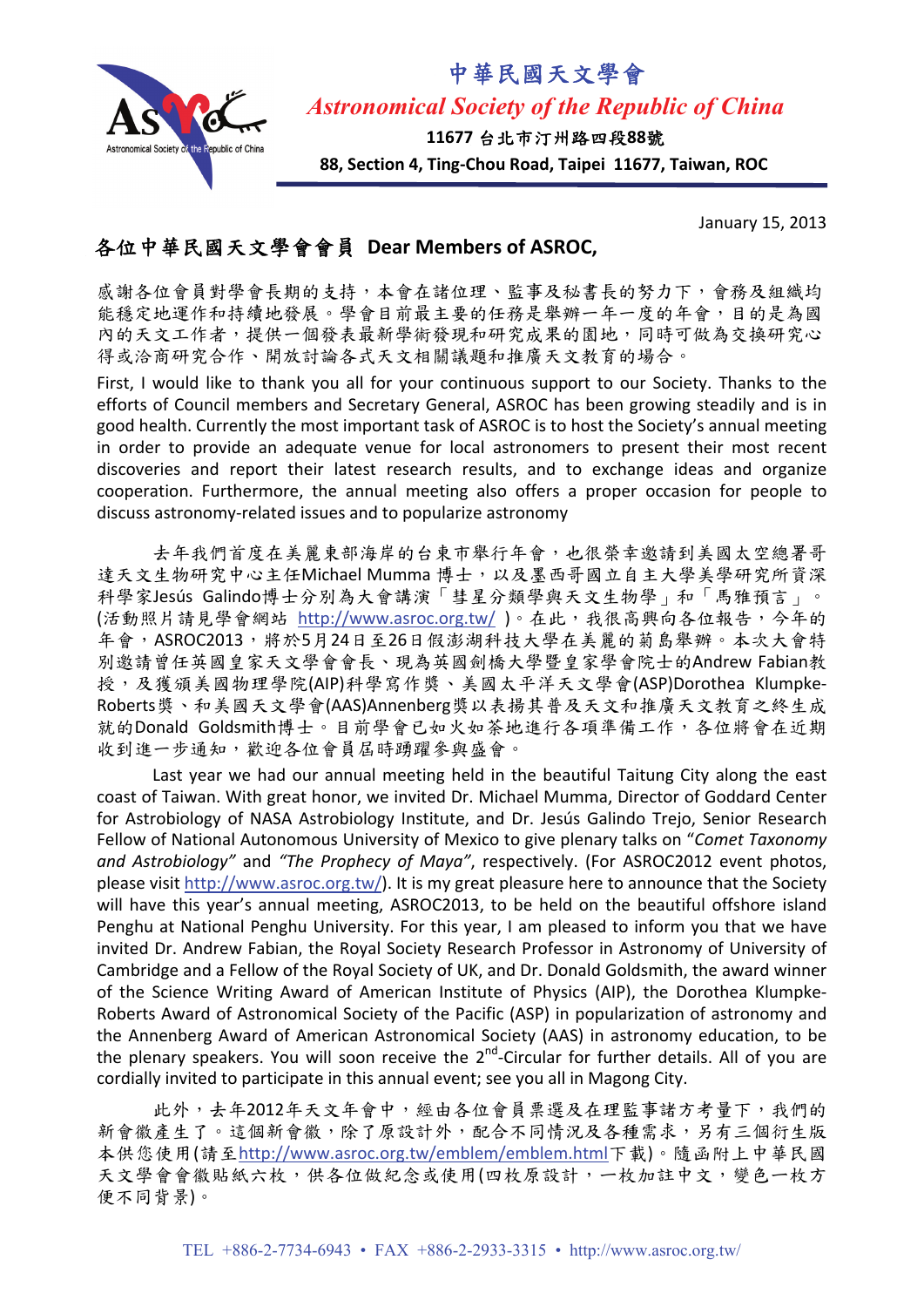

*Astronomical Society of the Republic of China* 

中華民國天文學會

**11677** 台北市汀州路四段**88**號

**88, Section 4, Ting‐Chou Road, Taipei 11677, Taiwan, ROC**

January 15, 2013

## 各位中華民國天文學會會員 **Dear Members of ASROC,**

感謝各位會員對學會長期的支持,本會在諸位理、監事及秘書長的努力下,會務及組織均 能穩定地運作和持續地發展。學會目前最主要的任務是舉辦一年一度的年會,目的是為國 內的天文工作者,提供一個發表最新學術發現和研究成果的園地,同時可做為交換研究心 得或洽商研究合作、開放討論各式天文相關議題和推廣天文教育的場合。

First, I would like to thank you all for your continuous support to our Society. Thanks to the efforts of Council members and Secretary General, ASROC has been growing steadily and is in good health. Currently the most important task of ASROC is to host the Society's annual meeting in order to provide an adequate venue for local astronomers to present their most recent discoveries and report their latest research results, and to exchange ideas and organize cooperation. Furthermore, the annual meeting also offers a proper occasion for people to discuss astronomy‐related issues and to popularize astronomy

去年我們首度在美麗東部海岸的台東市舉行年會,也很榮幸邀請到美國太空總署哥 達天文生物研究中心主任Michael Mumma 博士,以及墨西哥國立自主大學美學研究所資深 科學家Jesús Galindo博士分別為大會講演「彗星分類學與天文生物學」和「馬雅預言」。 (活動照片請見學會網站 <http://www.asroc.org.tw/>)。在此,我很高興向各位報告,今年的 年會,ASROC2013,將於5月24日至26日假澎湖科技大學在美麗的菊島舉辦。本次大會特 別邀請曾任英國皇家天文學會會長、現為英國劍橋大學暨皇家學會院士的Andrew Fabian教 授,及獲頒美國物理學院(AIP)科學寫作獎、美國太平洋天文學會(ASP)Dorothea Klumpke‐ Roberts獎、和美國天文學會(AAS)Annenberg獎以表揚其普及天文和推廣天文教育之終生成 就的Donald Goldsmith博士。目前學會已如火如荼地進行各項準備工作,各位將會在近期 收到進一步通知,歡迎各位會員屆時踴躍參與盛會。

Last year we had our annual meeting held in the beautiful Taitung City along the east coast of Taiwan. With great honor, we invited Dr. Michael Mumma, Director of Goddard Center for Astrobiology of NASA Astrobiology Institute, and Dr. Jesús Galindo Trejo, Senior Research Fellow of National Autonomous University of Mexico to give plenary talks on "*Comet Taxonomy and Astrobiology"* and *"The Prophecy of Maya"*, respectively. (For ASROC2012 event photos, please visit <http://www.asroc.org.tw/>). It is my great pleasure here to announce that the Society will have this year's annual meeting, ASROC2013, to be held on the beautiful offshore island Penghu at National Penghu University. For this year, I am pleased to inform you that we have invited Dr. Andrew Fabian, the Royal Society Research Professor in Astronomy of University of Cambridge and a Fellow of the Royal Society of UK, and Dr. Donald Goldsmith, the award winner of the Science Writing Award of American Institute of Physics (AIP), the Dorothea Klumpke‐ Roberts Award of Astronomical Society of the Pacific (ASP) in popularization of astronomy and the Annenberg Award of American Astronomical Society (AAS) in astronomy education, to be the plenary speakers. You will soon receive the  $2^{nd}$ -Circular for further details. All of you are cordially invited to participate in this annual event; see you all in Magong City.

此外,去年2012年天文年會中,經由各位會員票選及在理監事諸方考量下,我們的 新會徽產生了。這個新會徽,除了原設計外,配合不同情況及各種需求,另有三個衍生版 本供您使用(請至<http://www.asroc.org.tw/emblem/emblem.html>下載)。隨函附上中華民國 天文學會會徽貼紙六枚,供各位做紀念或使用(四枚原設計,一枚加註中文,變色一枚方 便不同背景)。